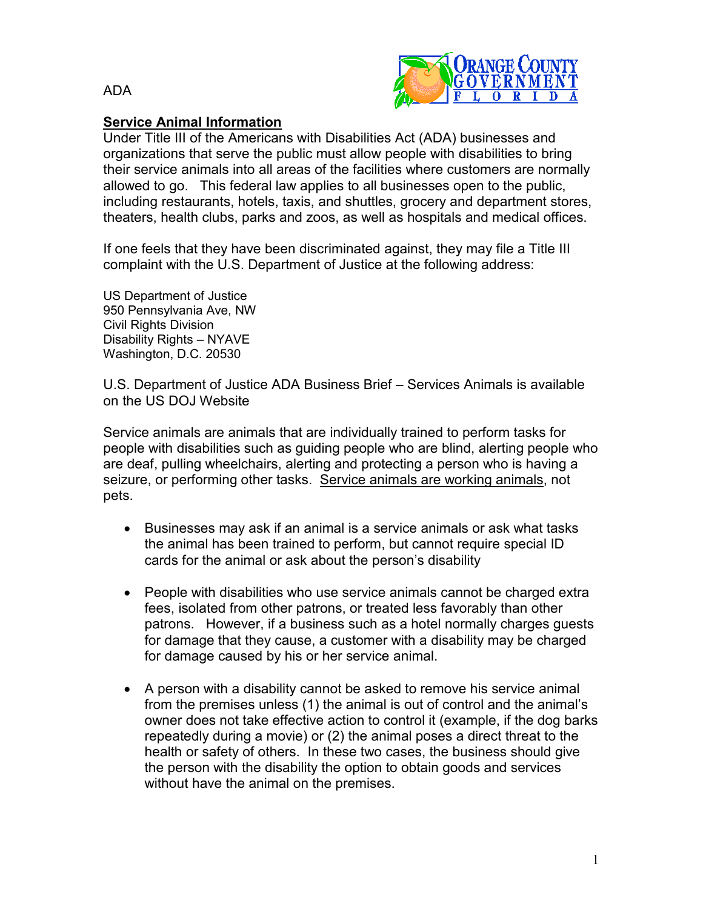



## **Service Animal Information**

Under Title III of the Americans with Disabilities Act (ADA) businesses and organizations that serve the public must allow people with disabilities to bring their service animals into all areas of the facilities where customers are normally allowed to go. This federal law applies to all businesses open to the public, including restaurants, hotels, taxis, and shuttles, grocery and department stores, theaters, health clubs, parks and zoos, as well as hospitals and medical offices.

If one feels that they have been discriminated against, they may file a Title III complaint with the U.S. Department of Justice at the following address:

US Department of Justice 950 Pennsylvania Ave, NW Civil Rights Division Disability Rights – NYAVE Washington, D.C. 20530

U.S. Department of Justice ADA Business Brief – Services Animals is available on the US DOJ Website

Service animals are animals that are individually trained to perform tasks for people with disabilities such as guiding people who are blind, alerting people who are deaf, pulling wheelchairs, alerting and protecting a person who is having a seizure, or performing other tasks. Service animals are working animals, not pets.

- Businesses may ask if an animal is a service animals or ask what tasks the animal has been trained to perform, but cannot require special ID cards for the animal or ask about the person's disability
- People with disabilities who use service animals cannot be charged extra fees, isolated from other patrons, or treated less favorably than other patrons. However, if a business such as a hotel normally charges guests for damage that they cause, a customer with a disability may be charged for damage caused by his or her service animal.
- A person with a disability cannot be asked to remove his service animal from the premises unless (1) the animal is out of control and the animal's owner does not take effective action to control it (example, if the dog barks repeatedly during a movie) or (2) the animal poses a direct threat to the health or safety of others. In these two cases, the business should give the person with the disability the option to obtain goods and services without have the animal on the premises.